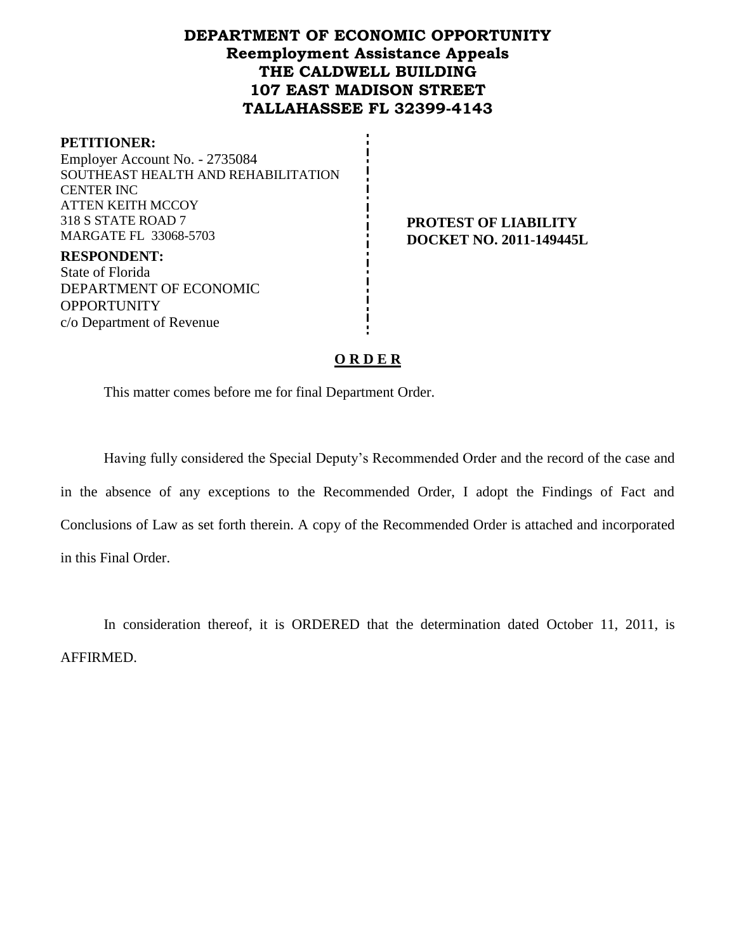# **DEPARTMENT OF ECONOMIC OPPORTUNITY Reemployment Assistance Appeals THE CALDWELL BUILDING 107 EAST MADISON STREET TALLAHASSEE FL 32399-4143**

#### **PETITIONER:**

Employer Account No. - 2735084 SOUTHEAST HEALTH AND REHABILITATION CENTER INC ATTEN KEITH MCCOY 318 S STATE ROAD 7 MARGATE FL 33068-5703

**PROTEST OF LIABILITY DOCKET NO. 2011-149445L**

**RESPONDENT:** State of Florida DEPARTMENT OF ECONOMIC **OPPORTUNITY** c/o Department of Revenue

#### **O R D E R**

This matter comes before me for final Department Order.

Having fully considered the Special Deputy's Recommended Order and the record of the case and in the absence of any exceptions to the Recommended Order, I adopt the Findings of Fact and Conclusions of Law as set forth therein. A copy of the Recommended Order is attached and incorporated in this Final Order.

In consideration thereof, it is ORDERED that the determination dated October 11, 2011, is AFFIRMED.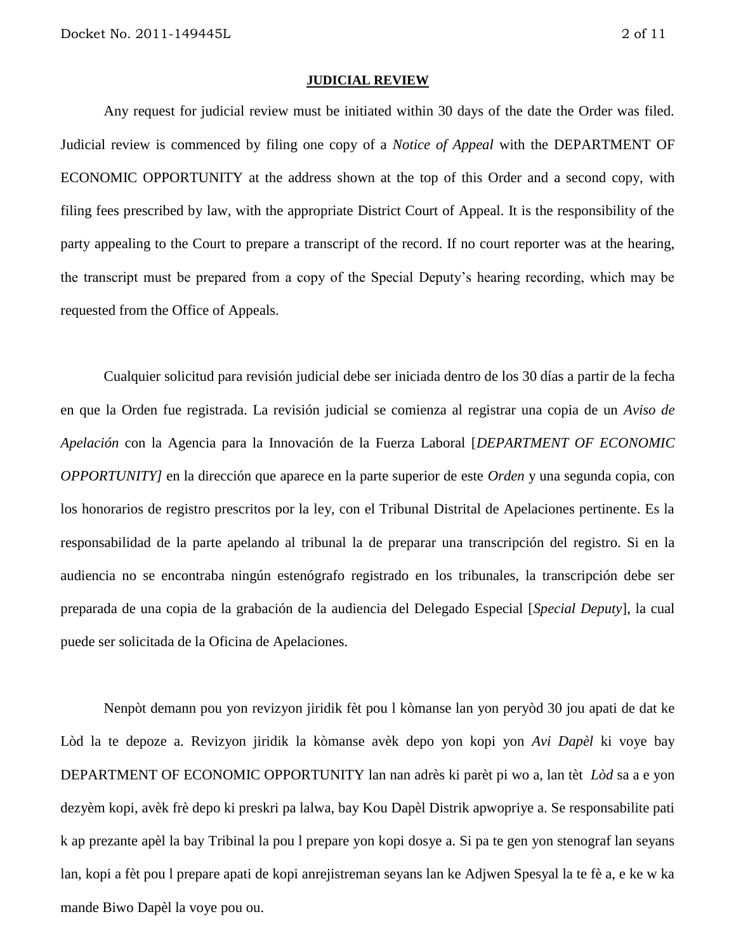#### **JUDICIAL REVIEW**

Any request for judicial review must be initiated within 30 days of the date the Order was filed. Judicial review is commenced by filing one copy of a *Notice of Appeal* with the DEPARTMENT OF ECONOMIC OPPORTUNITY at the address shown at the top of this Order and a second copy, with filing fees prescribed by law, with the appropriate District Court of Appeal. It is the responsibility of the party appealing to the Court to prepare a transcript of the record. If no court reporter was at the hearing, the transcript must be prepared from a copy of the Special Deputy's hearing recording, which may be requested from the Office of Appeals.

Cualquier solicitud para revisión judicial debe ser iniciada dentro de los 30 días a partir de la fecha en que la Orden fue registrada. La revisión judicial se comienza al registrar una copia de un *Aviso de Apelación* con la Agencia para la Innovación de la Fuerza Laboral [*DEPARTMENT OF ECONOMIC OPPORTUNITY]* en la dirección que aparece en la parte superior de este *Orden* y una segunda copia, con los honorarios de registro prescritos por la ley, con el Tribunal Distrital de Apelaciones pertinente. Es la responsabilidad de la parte apelando al tribunal la de preparar una transcripción del registro. Si en la audiencia no se encontraba ningún estenógrafo registrado en los tribunales, la transcripción debe ser preparada de una copia de la grabación de la audiencia del Delegado Especial [*Special Deputy*], la cual puede ser solicitada de la Oficina de Apelaciones.

Nenpòt demann pou yon revizyon jiridik fèt pou l kòmanse lan yon peryòd 30 jou apati de dat ke Lòd la te depoze a. Revizyon jiridik la kòmanse avèk depo yon kopi yon *Avi Dapèl* ki voye bay DEPARTMENT OF ECONOMIC OPPORTUNITY lan nan adrès ki parèt pi wo a, lan tèt *Lòd* sa a e yon dezyèm kopi, avèk frè depo ki preskri pa lalwa, bay Kou Dapèl Distrik apwopriye a. Se responsabilite pati k ap prezante apèl la bay Tribinal la pou l prepare yon kopi dosye a. Si pa te gen yon stenograf lan seyans lan, kopi a fèt pou l prepare apati de kopi anrejistreman seyans lan ke Adjwen Spesyal la te fè a, e ke w ka mande Biwo Dapèl la voye pou ou.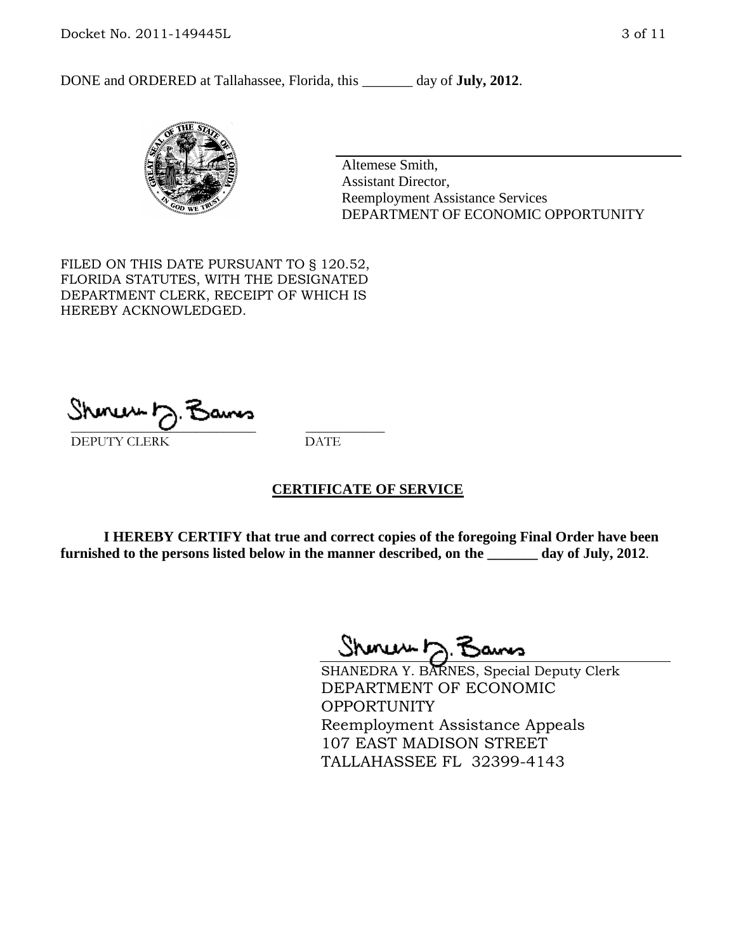DONE and ORDERED at Tallahassee, Florida, this \_\_\_\_\_\_\_ day of **July, 2012**.



Altemese Smith, Assistant Director, Reemployment Assistance Services DEPARTMENT OF ECONOMIC OPPORTUNITY

FILED ON THIS DATE PURSUANT TO § 120.52, FLORIDA STATUTES, WITH THE DESIGNATED DEPARTMENT CLERK, RECEIPT OF WHICH IS HEREBY ACKNOWLEDGED.

\_\_\_\_\_\_\_\_\_\_\_\_\_\_\_\_\_\_\_\_\_\_\_\_\_\_\_\_ \_\_\_\_\_\_\_\_\_\_\_\_ DEPUTY CLERK DATE

#### **CERTIFICATE OF SERVICE**

**I HEREBY CERTIFY that true and correct copies of the foregoing Final Order have been furnished to the persons listed below in the manner described, on the \_\_\_\_\_\_\_ day of July, 2012**.

Shmun 12.Z

SHANEDRA Y. BARNES, Special Deputy Clerk DEPARTMENT OF ECONOMIC OPPORTUNITY Reemployment Assistance Appeals 107 EAST MADISON STREET TALLAHASSEE FL 32399-4143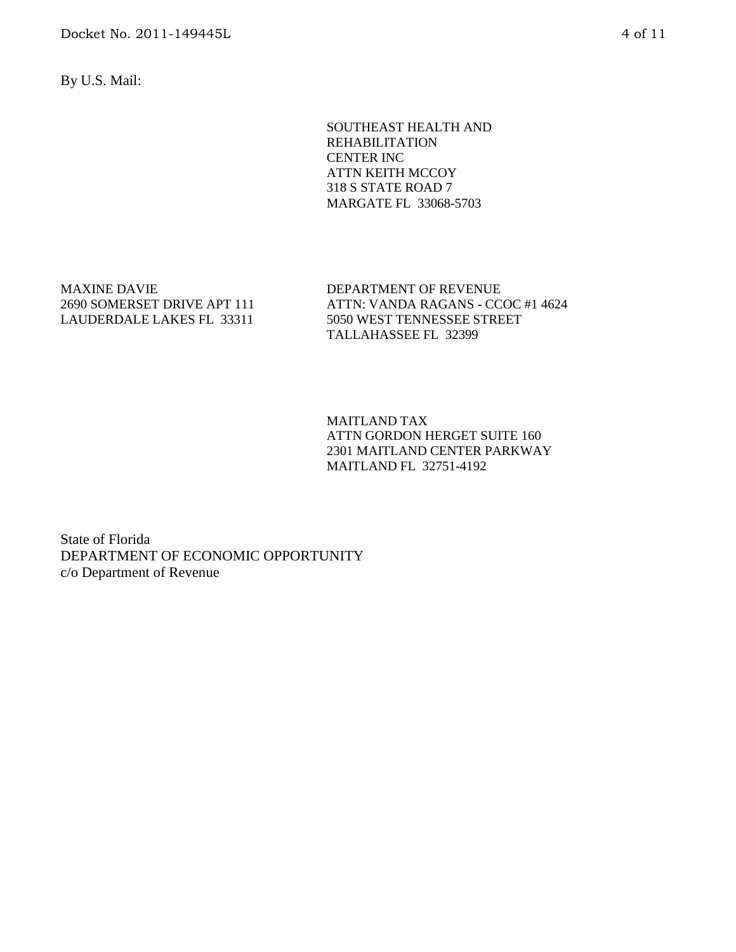By U.S. Mail:

SOUTHEAST HEALTH AND REHABILITATION CENTER INC ATTN KEITH MCCOY 318 S STATE ROAD 7 MARGATE FL 33068-5703

MAXINE DAVIE 2690 SOMERSET DRIVE APT 111 LAUDERDALE LAKES FL 33311

DEPARTMENT OF REVENUE ATTN: VANDA RAGANS - CCOC #1 4624 5050 WEST TENNESSEE STREET TALLAHASSEE FL 32399

MAITLAND TAX ATTN GORDON HERGET SUITE 160 2301 MAITLAND CENTER PARKWAY MAITLAND FL 32751-4192

State of Florida DEPARTMENT OF ECONOMIC OPPORTUNITY c/o Department of Revenue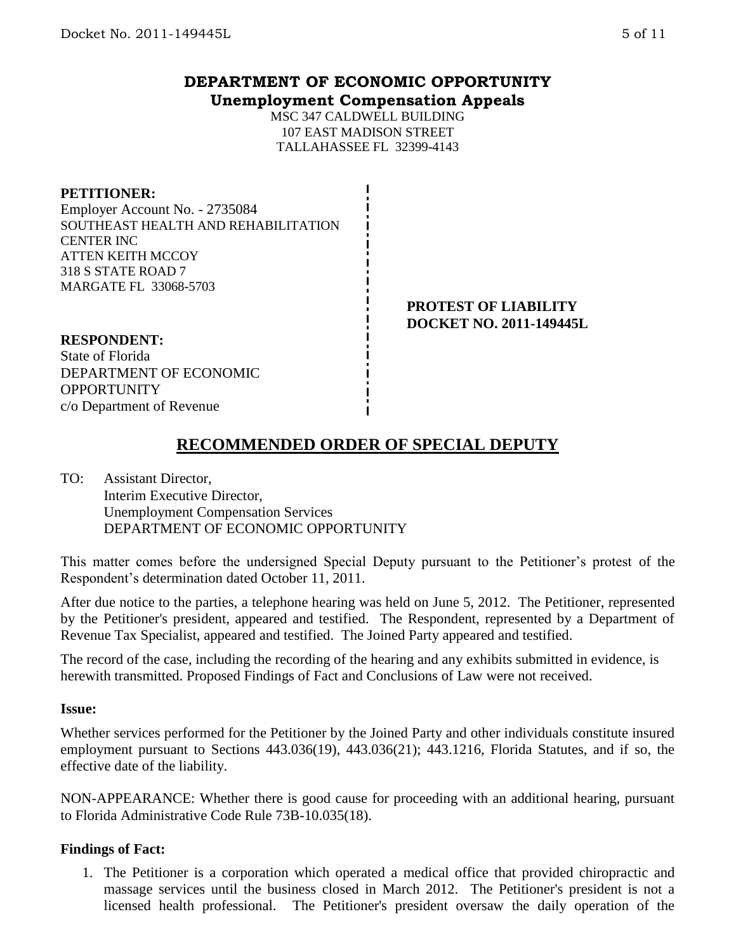## **DEPARTMENT OF ECONOMIC OPPORTUNITY Unemployment Compensation Appeals**

MSC 347 CALDWELL BUILDING 107 EAST MADISON STREET TALLAHASSEE FL 32399-4143

#### **PETITIONER:**

Employer Account No. - 2735084 SOUTHEAST HEALTH AND REHABILITATION CENTER INC ATTEN KEITH MCCOY 318 S STATE ROAD 7 MARGATE FL 33068-5703

> **PROTEST OF LIABILITY DOCKET NO. 2011-149445L**

#### **RESPONDENT:**

State of Florida DEPARTMENT OF ECONOMIC **OPPORTUNITY** c/o Department of Revenue

# **RECOMMENDED ORDER OF SPECIAL DEPUTY**

TO: Assistant Director, Interim Executive Director, Unemployment Compensation Services DEPARTMENT OF ECONOMIC OPPORTUNITY

This matter comes before the undersigned Special Deputy pursuant to the Petitioner's protest of the Respondent's determination dated October 11, 2011.

After due notice to the parties, a telephone hearing was held on June 5, 2012. The Petitioner, represented by the Petitioner's president, appeared and testified. The Respondent, represented by a Department of Revenue Tax Specialist, appeared and testified. The Joined Party appeared and testified.

The record of the case, including the recording of the hearing and any exhibits submitted in evidence, is herewith transmitted. Proposed Findings of Fact and Conclusions of Law were not received.

#### **Issue:**

Whether services performed for the Petitioner by the Joined Party and other individuals constitute insured employment pursuant to Sections 443.036(19), 443.036(21); 443.1216, Florida Statutes, and if so, the effective date of the liability.

NON-APPEARANCE: Whether there is good cause for proceeding with an additional hearing, pursuant to Florida Administrative Code Rule 73B-10.035(18).

## **Findings of Fact:**

1. The Petitioner is a corporation which operated a medical office that provided chiropractic and massage services until the business closed in March 2012. The Petitioner's president is not a licensed health professional. The Petitioner's president oversaw the daily operation of the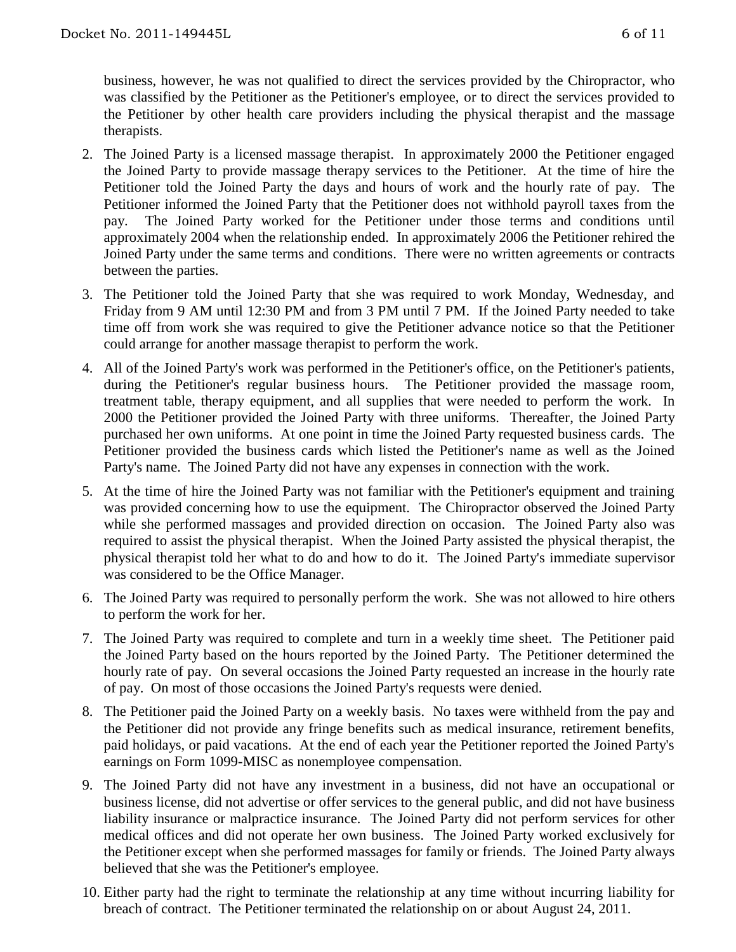business, however, he was not qualified to direct the services provided by the Chiropractor, who was classified by the Petitioner as the Petitioner's employee, or to direct the services provided to the Petitioner by other health care providers including the physical therapist and the massage therapists.

- 2. The Joined Party is a licensed massage therapist. In approximately 2000 the Petitioner engaged the Joined Party to provide massage therapy services to the Petitioner. At the time of hire the Petitioner told the Joined Party the days and hours of work and the hourly rate of pay. The Petitioner informed the Joined Party that the Petitioner does not withhold payroll taxes from the pay. The Joined Party worked for the Petitioner under those terms and conditions until approximately 2004 when the relationship ended. In approximately 2006 the Petitioner rehired the Joined Party under the same terms and conditions. There were no written agreements or contracts between the parties.
- 3. The Petitioner told the Joined Party that she was required to work Monday, Wednesday, and Friday from 9 AM until 12:30 PM and from 3 PM until 7 PM. If the Joined Party needed to take time off from work she was required to give the Petitioner advance notice so that the Petitioner could arrange for another massage therapist to perform the work.
- 4. All of the Joined Party's work was performed in the Petitioner's office, on the Petitioner's patients, during the Petitioner's regular business hours. The Petitioner provided the massage room, treatment table, therapy equipment, and all supplies that were needed to perform the work. In 2000 the Petitioner provided the Joined Party with three uniforms. Thereafter, the Joined Party purchased her own uniforms. At one point in time the Joined Party requested business cards. The Petitioner provided the business cards which listed the Petitioner's name as well as the Joined Party's name. The Joined Party did not have any expenses in connection with the work.
- 5. At the time of hire the Joined Party was not familiar with the Petitioner's equipment and training was provided concerning how to use the equipment. The Chiropractor observed the Joined Party while she performed massages and provided direction on occasion. The Joined Party also was required to assist the physical therapist. When the Joined Party assisted the physical therapist, the physical therapist told her what to do and how to do it. The Joined Party's immediate supervisor was considered to be the Office Manager.
- 6. The Joined Party was required to personally perform the work. She was not allowed to hire others to perform the work for her.
- 7. The Joined Party was required to complete and turn in a weekly time sheet. The Petitioner paid the Joined Party based on the hours reported by the Joined Party. The Petitioner determined the hourly rate of pay. On several occasions the Joined Party requested an increase in the hourly rate of pay. On most of those occasions the Joined Party's requests were denied.
- 8. The Petitioner paid the Joined Party on a weekly basis. No taxes were withheld from the pay and the Petitioner did not provide any fringe benefits such as medical insurance, retirement benefits, paid holidays, or paid vacations. At the end of each year the Petitioner reported the Joined Party's earnings on Form 1099-MISC as nonemployee compensation.
- 9. The Joined Party did not have any investment in a business, did not have an occupational or business license, did not advertise or offer services to the general public, and did not have business liability insurance or malpractice insurance. The Joined Party did not perform services for other medical offices and did not operate her own business. The Joined Party worked exclusively for the Petitioner except when she performed massages for family or friends. The Joined Party always believed that she was the Petitioner's employee.
- 10. Either party had the right to terminate the relationship at any time without incurring liability for breach of contract. The Petitioner terminated the relationship on or about August 24, 2011.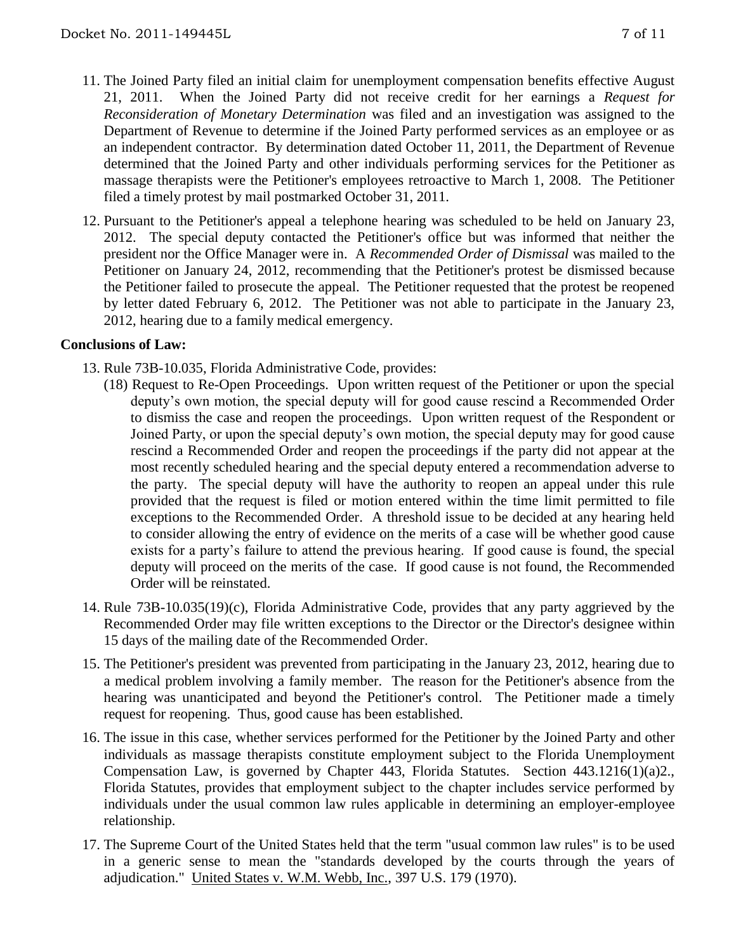- 11. The Joined Party filed an initial claim for unemployment compensation benefits effective August 21, 2011. When the Joined Party did not receive credit for her earnings a *Request for Reconsideration of Monetary Determination* was filed and an investigation was assigned to the Department of Revenue to determine if the Joined Party performed services as an employee or as an independent contractor. By determination dated October 11, 2011, the Department of Revenue determined that the Joined Party and other individuals performing services for the Petitioner as massage therapists were the Petitioner's employees retroactive to March 1, 2008. The Petitioner filed a timely protest by mail postmarked October 31, 2011.
- 12. Pursuant to the Petitioner's appeal a telephone hearing was scheduled to be held on January 23, 2012. The special deputy contacted the Petitioner's office but was informed that neither the president nor the Office Manager were in. A *Recommended Order of Dismissal* was mailed to the Petitioner on January 24, 2012, recommending that the Petitioner's protest be dismissed because the Petitioner failed to prosecute the appeal. The Petitioner requested that the protest be reopened by letter dated February 6, 2012. The Petitioner was not able to participate in the January 23, 2012, hearing due to a family medical emergency.

## **Conclusions of Law:**

- 13. Rule 73B-10.035, Florida Administrative Code, provides:
	- (18) Request to Re-Open Proceedings. Upon written request of the Petitioner or upon the special deputy's own motion, the special deputy will for good cause rescind a Recommended Order to dismiss the case and reopen the proceedings. Upon written request of the Respondent or Joined Party, or upon the special deputy's own motion, the special deputy may for good cause rescind a Recommended Order and reopen the proceedings if the party did not appear at the most recently scheduled hearing and the special deputy entered a recommendation adverse to the party. The special deputy will have the authority to reopen an appeal under this rule provided that the request is filed or motion entered within the time limit permitted to file exceptions to the Recommended Order. A threshold issue to be decided at any hearing held to consider allowing the entry of evidence on the merits of a case will be whether good cause exists for a party's failure to attend the previous hearing. If good cause is found, the special deputy will proceed on the merits of the case. If good cause is not found, the Recommended Order will be reinstated.
- 14. Rule 73B-10.035(19)(c), Florida Administrative Code, provides that any party aggrieved by the Recommended Order may file written exceptions to the Director or the Director's designee within 15 days of the mailing date of the Recommended Order.
- 15. The Petitioner's president was prevented from participating in the January 23, 2012, hearing due to a medical problem involving a family member. The reason for the Petitioner's absence from the hearing was unanticipated and beyond the Petitioner's control. The Petitioner made a timely request for reopening. Thus, good cause has been established.
- 16. The issue in this case, whether services performed for the Petitioner by the Joined Party and other individuals as massage therapists constitute employment subject to the Florida Unemployment Compensation Law, is governed by Chapter 443, Florida Statutes. Section 443.1216(1)(a)2., Florida Statutes, provides that employment subject to the chapter includes service performed by individuals under the usual common law rules applicable in determining an employer-employee relationship.
- 17. The Supreme Court of the United States held that the term "usual common law rules" is to be used in a generic sense to mean the "standards developed by the courts through the years of adjudication." United States v. W.M. Webb, Inc., 397 U.S. 179 (1970).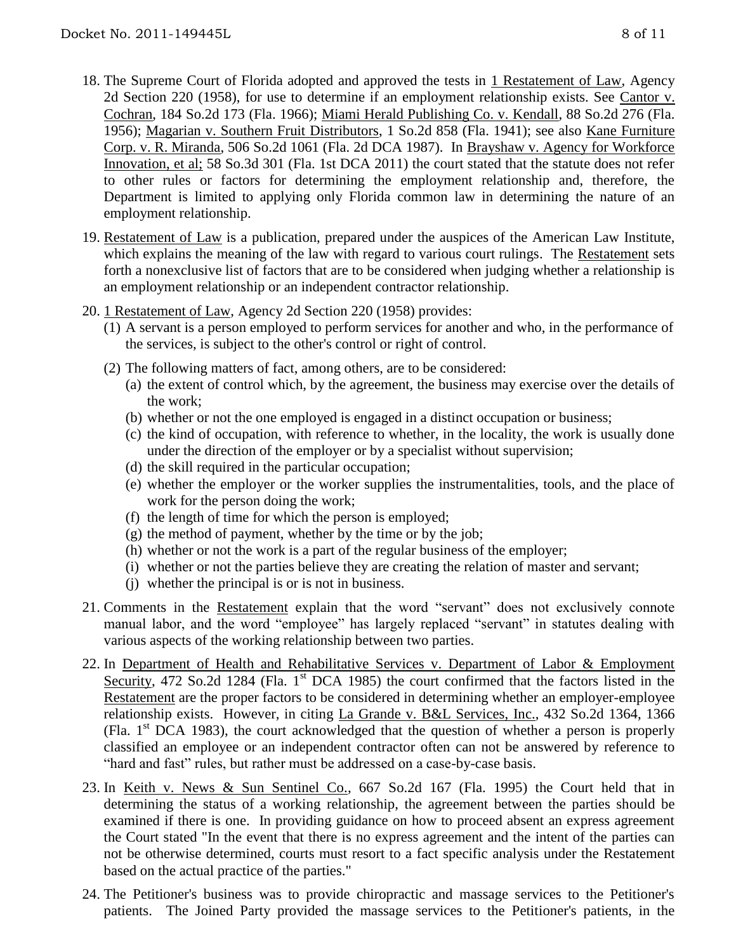- 18. The Supreme Court of Florida adopted and approved the tests in 1 Restatement of Law, Agency 2d Section 220 (1958), for use to determine if an employment relationship exists. See Cantor v. Cochran, 184 So.2d 173 (Fla. 1966); Miami Herald Publishing Co. v. Kendall, 88 So.2d 276 (Fla. 1956); Magarian v. Southern Fruit Distributors, 1 So.2d 858 (Fla. 1941); see also Kane Furniture Corp. v. R. Miranda, 506 So.2d 1061 (Fla. 2d DCA 1987). In Brayshaw v. Agency for Workforce Innovation, et al; 58 So.3d 301 (Fla. 1st DCA 2011) the court stated that the statute does not refer to other rules or factors for determining the employment relationship and, therefore, the Department is limited to applying only Florida common law in determining the nature of an employment relationship.
- 19. Restatement of Law is a publication, prepared under the auspices of the American Law Institute, which explains the meaning of the law with regard to various court rulings. The Restatement sets forth a nonexclusive list of factors that are to be considered when judging whether a relationship is an employment relationship or an independent contractor relationship.
- 20. 1 Restatement of Law, Agency 2d Section 220 (1958) provides:
	- (1) A servant is a person employed to perform services for another and who, in the performance of the services, is subject to the other's control or right of control.
	- (2) The following matters of fact, among others, are to be considered:
		- (a) the extent of control which, by the agreement, the business may exercise over the details of the work;
		- (b) whether or not the one employed is engaged in a distinct occupation or business;
		- (c) the kind of occupation, with reference to whether, in the locality, the work is usually done under the direction of the employer or by a specialist without supervision;
		- (d) the skill required in the particular occupation;
		- (e) whether the employer or the worker supplies the instrumentalities, tools, and the place of work for the person doing the work;
		- (f) the length of time for which the person is employed;
		- $(g)$  the method of payment, whether by the time or by the job;
		- (h) whether or not the work is a part of the regular business of the employer;
		- (i) whether or not the parties believe they are creating the relation of master and servant;
		- (j) whether the principal is or is not in business.
- 21. Comments in the Restatement explain that the word "servant" does not exclusively connote manual labor, and the word "employee" has largely replaced "servant" in statutes dealing with various aspects of the working relationship between two parties.
- 22. In Department of Health and Rehabilitative Services v. Department of Labor & Employment Security, 472 So.2d 1284 (Fla. 1<sup>st</sup> DCA 1985) the court confirmed that the factors listed in the Restatement are the proper factors to be considered in determining whether an employer-employee relationship exists. However, in citing La Grande v. B&L Services, Inc., 432 So.2d 1364, 1366 (Fla. 1st DCA 1983), the court acknowledged that the question of whether a person is properly classified an employee or an independent contractor often can not be answered by reference to "hard and fast" rules, but rather must be addressed on a case-by-case basis.
- 23. In Keith v. News & Sun Sentinel Co., 667 So.2d 167 (Fla. 1995) the Court held that in determining the status of a working relationship, the agreement between the parties should be examined if there is one. In providing guidance on how to proceed absent an express agreement the Court stated "In the event that there is no express agreement and the intent of the parties can not be otherwise determined, courts must resort to a fact specific analysis under the Restatement based on the actual practice of the parties."
- 24. The Petitioner's business was to provide chiropractic and massage services to the Petitioner's patients. The Joined Party provided the massage services to the Petitioner's patients, in the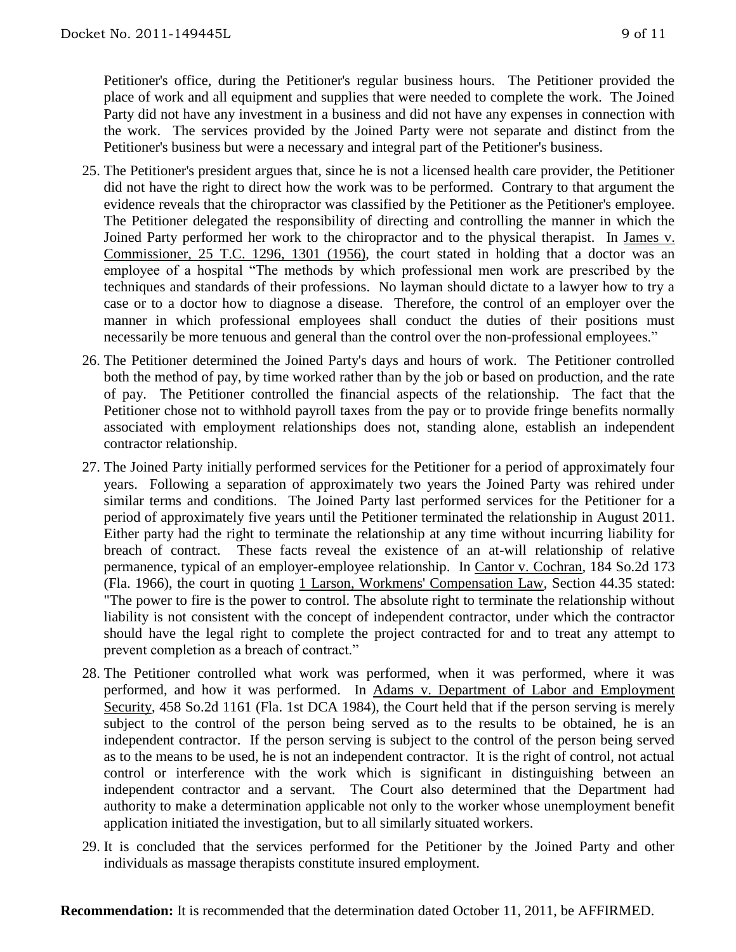Petitioner's office, during the Petitioner's regular business hours. The Petitioner provided the place of work and all equipment and supplies that were needed to complete the work. The Joined Party did not have any investment in a business and did not have any expenses in connection with the work. The services provided by the Joined Party were not separate and distinct from the Petitioner's business but were a necessary and integral part of the Petitioner's business.

- 25. The Petitioner's president argues that, since he is not a licensed health care provider, the Petitioner did not have the right to direct how the work was to be performed. Contrary to that argument the evidence reveals that the chiropractor was classified by the Petitioner as the Petitioner's employee. The Petitioner delegated the responsibility of directing and controlling the manner in which the Joined Party performed her work to the chiropractor and to the physical therapist. In James v. Commissioner, 25 T.C. 1296, 1301 (1956), the court stated in holding that a doctor was an employee of a hospital "The methods by which professional men work are prescribed by the techniques and standards of their professions. No layman should dictate to a lawyer how to try a case or to a doctor how to diagnose a disease. Therefore, the control of an employer over the manner in which professional employees shall conduct the duties of their positions must necessarily be more tenuous and general than the control over the non-professional employees."
- 26. The Petitioner determined the Joined Party's days and hours of work. The Petitioner controlled both the method of pay, by time worked rather than by the job or based on production, and the rate of pay. The Petitioner controlled the financial aspects of the relationship. The fact that the Petitioner chose not to withhold payroll taxes from the pay or to provide fringe benefits normally associated with employment relationships does not, standing alone, establish an independent contractor relationship.
- 27. The Joined Party initially performed services for the Petitioner for a period of approximately four years. Following a separation of approximately two years the Joined Party was rehired under similar terms and conditions. The Joined Party last performed services for the Petitioner for a period of approximately five years until the Petitioner terminated the relationship in August 2011. Either party had the right to terminate the relationship at any time without incurring liability for breach of contract. These facts reveal the existence of an at-will relationship of relative permanence, typical of an employer-employee relationship. In Cantor v. Cochran, 184 So.2d 173 (Fla. 1966), the court in quoting 1 Larson, Workmens' Compensation Law, Section 44.35 stated: "The power to fire is the power to control. The absolute right to terminate the relationship without liability is not consistent with the concept of independent contractor, under which the contractor should have the legal right to complete the project contracted for and to treat any attempt to prevent completion as a breach of contract."
- 28. The Petitioner controlled what work was performed, when it was performed, where it was performed, and how it was performed. In Adams v. Department of Labor and Employment Security, 458 So.2d 1161 (Fla. 1st DCA 1984), the Court held that if the person serving is merely subject to the control of the person being served as to the results to be obtained, he is an independent contractor. If the person serving is subject to the control of the person being served as to the means to be used, he is not an independent contractor. It is the right of control, not actual control or interference with the work which is significant in distinguishing between an independent contractor and a servant. The Court also determined that the Department had authority to make a determination applicable not only to the worker whose unemployment benefit application initiated the investigation, but to all similarly situated workers.
- 29. It is concluded that the services performed for the Petitioner by the Joined Party and other individuals as massage therapists constitute insured employment.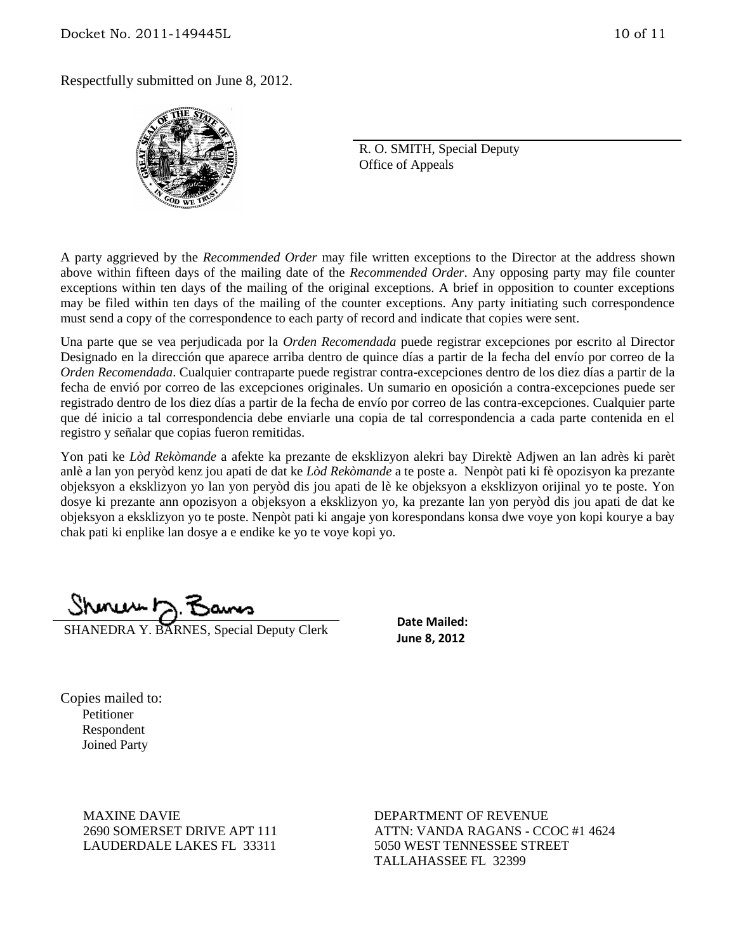Respectfully submitted on June 8, 2012.



R. O. SMITH, Special Deputy Office of Appeals

A party aggrieved by the *Recommended Order* may file written exceptions to the Director at the address shown above within fifteen days of the mailing date of the *Recommended Order*. Any opposing party may file counter exceptions within ten days of the mailing of the original exceptions. A brief in opposition to counter exceptions may be filed within ten days of the mailing of the counter exceptions. Any party initiating such correspondence must send a copy of the correspondence to each party of record and indicate that copies were sent.

Una parte que se vea perjudicada por la *Orden Recomendada* puede registrar excepciones por escrito al Director Designado en la dirección que aparece arriba dentro de quince días a partir de la fecha del envío por correo de la *Orden Recomendada*. Cualquier contraparte puede registrar contra-excepciones dentro de los diez días a partir de la fecha de envió por correo de las excepciones originales. Un sumario en oposición a contra-excepciones puede ser registrado dentro de los diez días a partir de la fecha de envío por correo de las contra-excepciones. Cualquier parte que dé inicio a tal correspondencia debe enviarle una copia de tal correspondencia a cada parte contenida en el registro y señalar que copias fueron remitidas.

Yon pati ke *Lòd Rekòmande* a afekte ka prezante de eksklizyon alekri bay Direktè Adjwen an lan adrès ki parèt anlè a lan yon peryòd kenz jou apati de dat ke *Lòd Rekòmande* a te poste a. Nenpòt pati ki fè opozisyon ka prezante objeksyon a eksklizyon yo lan yon peryòd dis jou apati de lè ke objeksyon a eksklizyon orijinal yo te poste. Yon dosye ki prezante ann opozisyon a objeksyon a eksklizyon yo, ka prezante lan yon peryòd dis jou apati de dat ke objeksyon a eksklizyon yo te poste. Nenpòt pati ki angaje yon korespondans konsa dwe voye yon kopi kourye a bay chak pati ki enplike lan dosye a e endike ke yo te voye kopi yo.

SHANEDRA Y. BARNES, Special Deputy Clerk

**Date Mailed: June 8, 2012**

Copies mailed to: Petitioner Respondent Joined Party

> MAXINE DAVIE 2690 SOMERSET DRIVE APT 111 LAUDERDALE LAKES FL 33311

DEPARTMENT OF REVENUE ATTN: VANDA RAGANS - CCOC #1 4624 5050 WEST TENNESSEE STREET TALLAHASSEE FL 32399